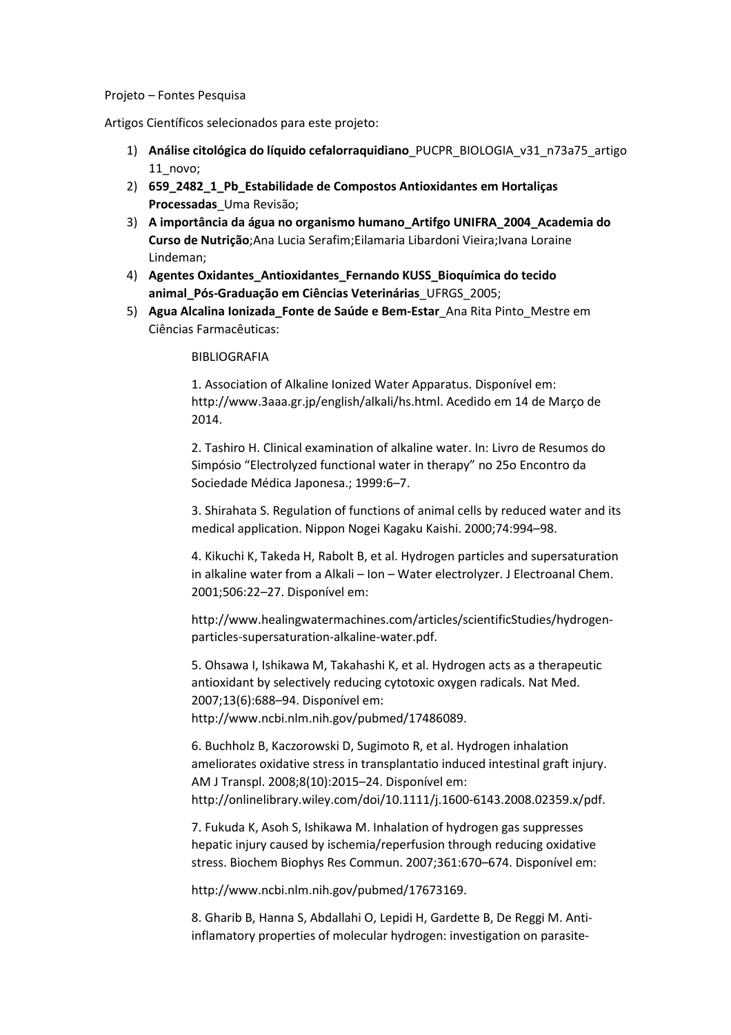## Projeto – Fontes Pesquisa

Artigos Científicos selecionados para este projeto:

- 1) Análise citológica do líquido cefalorraquidiano\_PUCPR\_BIOLOGIA\_v31\_n73a75\_artigo 11\_novo;
- 2) 659\_2482\_1\_Pb\_Estabilidade de Compostos Antioxidantes em Hortaliças Processadas Uma Revisão;
- 3) A importância da água no organismo humano\_Artifgo UNIFRA\_2004\_Academia do Curso de Nutrição; Ana Lucia Serafim; Eilamaria Libardoni Vieira; Ivana Loraine Lindeman;
- 4) Agentes Oxidantes\_Antioxidantes\_Fernando KUSS\_Bioquímica do tecido animal\_Pós-Graduação em Ciências Veterinárias\_UFRGS\_2005;
- 5) Agua Alcalina Ionizada\_Fonte de Saúde e Bem-Estar Ana Rita Pinto Mestre em Ciências Farmacêuticas:

## BIBLIOGRAFIA

1. Association of Alkaline Ionized Water Apparatus. Disponível em: http://www.3aaa.gr.jp/english/alkali/hs.html. Acedido em 14 de Março de 2014.

2. Tashiro H. Clinical examination of alkaline water. In: Livro de Resumos do Simpósio "Electrolyzed functional water in therapy" no 25o Encontro da Sociedade Médica Japonesa.; 1999:6–7.

3. Shirahata S. Regulation of functions of animal cells by reduced water and its medical application. Nippon Nogei Kagaku Kaishi. 2000;74:994–98.

4. Kikuchi K, Takeda H, Rabolt B, et al. Hydrogen particles and supersaturation in alkaline water from a Alkali – Ion – Water electrolyzer. J Electroanal Chem. 2001;506:22–27. Disponível em:

http://www.healingwatermachines.com/articles/scientificStudies/hydrogenparticles-supersaturation-alkaline-water.pdf.

5. Ohsawa I, Ishikawa M, Takahashi K, et al. Hydrogen acts as a therapeutic antioxidant by selectively reducing cytotoxic oxygen radicals. Nat Med. 2007;13(6):688–94. Disponível em: http://www.ncbi.nlm.nih.gov/pubmed/17486089.

6. Buchholz B, Kaczorowski D, Sugimoto R, et al. Hydrogen inhalation ameliorates oxidative stress in transplantatio induced intestinal graft injury. AM J Transpl. 2008;8(10):2015–24. Disponível em: http://onlinelibrary.wiley.com/doi/10.1111/j.1600-6143.2008.02359.x/pdf.

7. Fukuda K, Asoh S, Ishikawa M. Inhalation of hydrogen gas suppresses hepatic injury caused by ischemia/reperfusion through reducing oxidative stress. Biochem Biophys Res Commun. 2007;361:670–674. Disponível em:

http://www.ncbi.nlm.nih.gov/pubmed/17673169.

8. Gharib B, Hanna S, Abdallahi O, Lepidi H, Gardette B, De Reggi M. Antiinflamatory properties of molecular hydrogen: investigation on parasite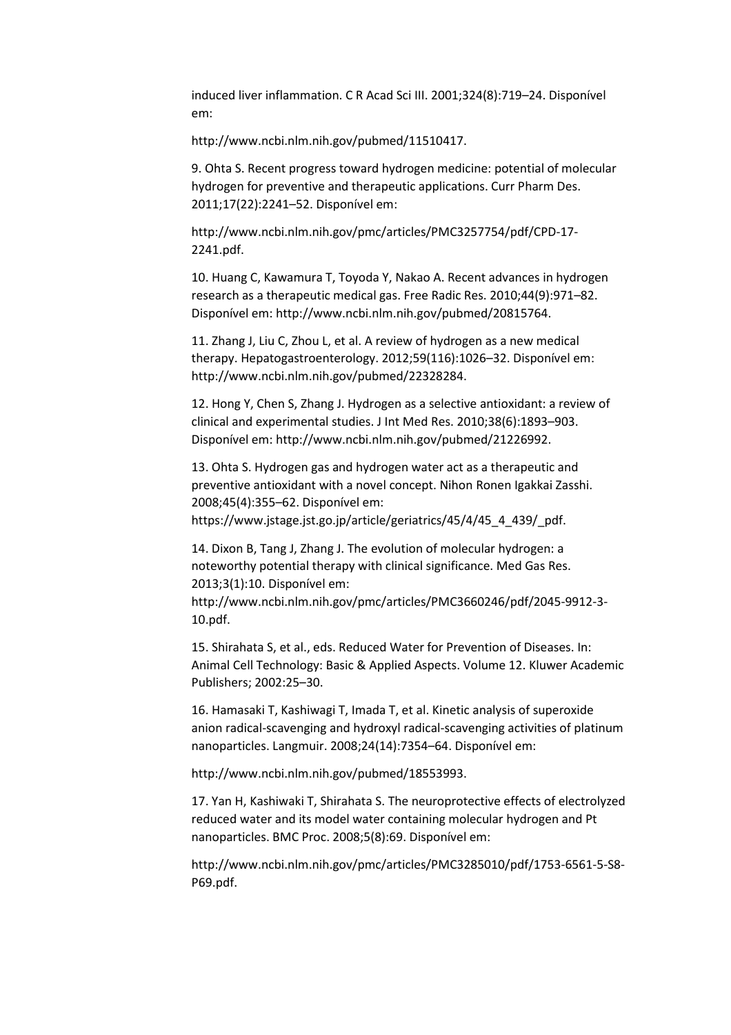induced liver inflammation. C R Acad Sci III. 2001;324(8):719–24. Disponível em:

http://www.ncbi.nlm.nih.gov/pubmed/11510417.

9. Ohta S. Recent progress toward hydrogen medicine: potential of molecular hydrogen for preventive and therapeutic applications. Curr Pharm Des. 2011;17(22):2241–52. Disponível em:

http://www.ncbi.nlm.nih.gov/pmc/articles/PMC3257754/pdf/CPD-17- 2241.pdf.

10. Huang C, Kawamura T, Toyoda Y, Nakao A. Recent advances in hydrogen research as a therapeutic medical gas. Free Radic Res. 2010;44(9):971–82. Disponível em: http://www.ncbi.nlm.nih.gov/pubmed/20815764.

11. Zhang J, Liu C, Zhou L, et al. A review of hydrogen as a new medical therapy. Hepatogastroenterology. 2012;59(116):1026–32. Disponível em: http://www.ncbi.nlm.nih.gov/pubmed/22328284.

12. Hong Y, Chen S, Zhang J. Hydrogen as a selective antioxidant: a review of clinical and experimental studies. J Int Med Res. 2010;38(6):1893–903. Disponível em: http://www.ncbi.nlm.nih.gov/pubmed/21226992.

13. Ohta S. Hydrogen gas and hydrogen water act as a therapeutic and preventive antioxidant with a novel concept. Nihon Ronen Igakkai Zasshi. 2008;45(4):355–62. Disponível em:

https://www.jstage.jst.go.jp/article/geriatrics/45/4/45\_4\_439/\_pdf.

14. Dixon B, Tang J, Zhang J. The evolution of molecular hydrogen: a noteworthy potential therapy with clinical significance. Med Gas Res. 2013;3(1):10. Disponível em:

http://www.ncbi.nlm.nih.gov/pmc/articles/PMC3660246/pdf/2045-9912-3- 10.pdf.

15. Shirahata S, et al., eds. Reduced Water for Prevention of Diseases. In: Animal Cell Technology: Basic & Applied Aspects. Volume 12. Kluwer Academic Publishers; 2002:25–30.

16. Hamasaki T, Kashiwagi T, Imada T, et al. Kinetic analysis of superoxide anion radical-scavenging and hydroxyl radical-scavenging activities of platinum nanoparticles. Langmuir. 2008;24(14):7354–64. Disponível em:

http://www.ncbi.nlm.nih.gov/pubmed/18553993.

17. Yan H, Kashiwaki T, Shirahata S. The neuroprotective effects of electrolyzed reduced water and its model water containing molecular hydrogen and Pt nanoparticles. BMC Proc. 2008;5(8):69. Disponível em:

http://www.ncbi.nlm.nih.gov/pmc/articles/PMC3285010/pdf/1753-6561-5-S8- P69.pdf.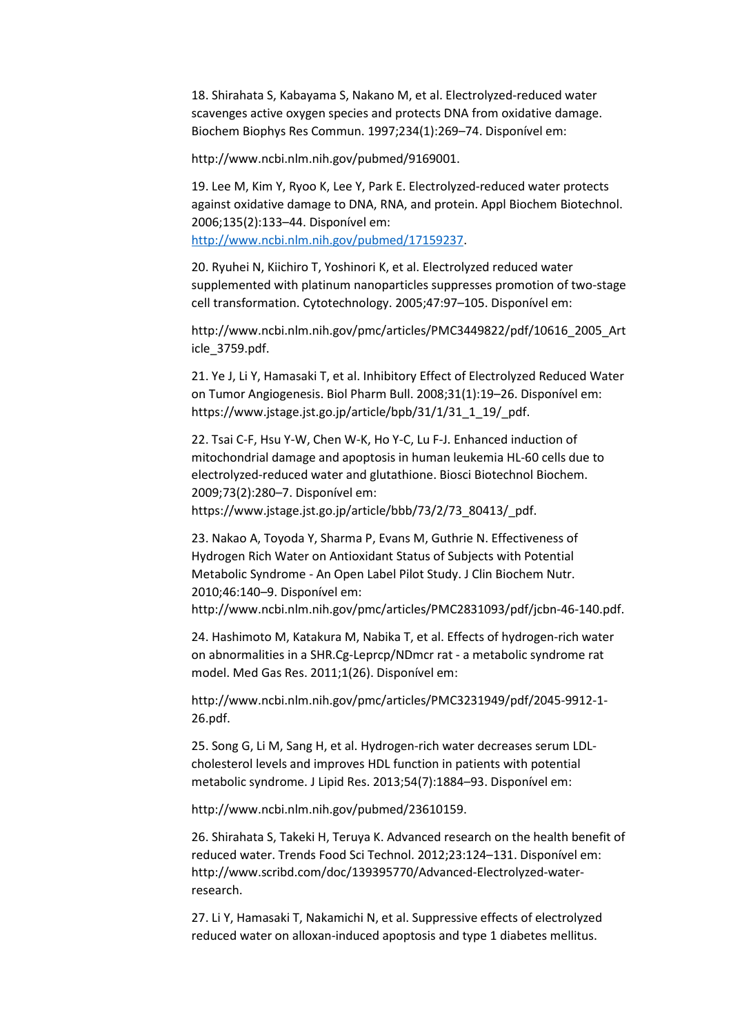18. Shirahata S, Kabayama S, Nakano M, et al. Electrolyzed-reduced water scavenges active oxygen species and protects DNA from oxidative damage. Biochem Biophys Res Commun. 1997;234(1):269–74. Disponível em:

http://www.ncbi.nlm.nih.gov/pubmed/9169001.

19. Lee M, Kim Y, Ryoo K, Lee Y, Park E. Electrolyzed-reduced water protects against oxidative damage to DNA, RNA, and protein. Appl Biochem Biotechnol. 2006;135(2):133–44. Disponível em: http://www.ncbi.nlm.nih.gov/pubmed/17159237.

20. Ryuhei N, Kiichiro T, Yoshinori K, et al. Electrolyzed reduced water supplemented with platinum nanoparticles suppresses promotion of two-stage cell transformation. Cytotechnology. 2005;47:97–105. Disponível em:

http://www.ncbi.nlm.nih.gov/pmc/articles/PMC3449822/pdf/10616\_2005\_Art icle\_3759.pdf.

21. Ye J, Li Y, Hamasaki T, et al. Inhibitory Effect of Electrolyzed Reduced Water on Tumor Angiogenesis. Biol Pharm Bull. 2008;31(1):19–26. Disponível em: https://www.jstage.jst.go.jp/article/bpb/31/1/31\_1\_19/\_pdf.

22. Tsai C-F, Hsu Y-W, Chen W-K, Ho Y-C, Lu F-J. Enhanced induction of mitochondrial damage and apoptosis in human leukemia HL-60 cells due to electrolyzed-reduced water and glutathione. Biosci Biotechnol Biochem. 2009;73(2):280–7. Disponível em:

https://www.jstage.jst.go.jp/article/bbb/73/2/73\_80413/\_pdf.

23. Nakao A, Toyoda Y, Sharma P, Evans M, Guthrie N. Effectiveness of Hydrogen Rich Water on Antioxidant Status of Subjects with Potential Metabolic Syndrome - An Open Label Pilot Study. J Clin Biochem Nutr. 2010;46:140–9. Disponível em:

http://www.ncbi.nlm.nih.gov/pmc/articles/PMC2831093/pdf/jcbn-46-140.pdf.

24. Hashimoto M, Katakura M, Nabika T, et al. Effects of hydrogen-rich water on abnormalities in a SHR.Cg-Leprcp/NDmcr rat - a metabolic syndrome rat model. Med Gas Res. 2011;1(26). Disponível em:

http://www.ncbi.nlm.nih.gov/pmc/articles/PMC3231949/pdf/2045-9912-1- 26.pdf.

25. Song G, Li M, Sang H, et al. Hydrogen-rich water decreases serum LDLcholesterol levels and improves HDL function in patients with potential metabolic syndrome. J Lipid Res. 2013;54(7):1884–93. Disponível em:

http://www.ncbi.nlm.nih.gov/pubmed/23610159.

26. Shirahata S, Takeki H, Teruya K. Advanced research on the health benefit of reduced water. Trends Food Sci Technol. 2012;23:124–131. Disponível em: http://www.scribd.com/doc/139395770/Advanced-Electrolyzed-waterresearch.

27. Li Y, Hamasaki T, Nakamichi N, et al. Suppressive effects of electrolyzed reduced water on alloxan-induced apoptosis and type 1 diabetes mellitus.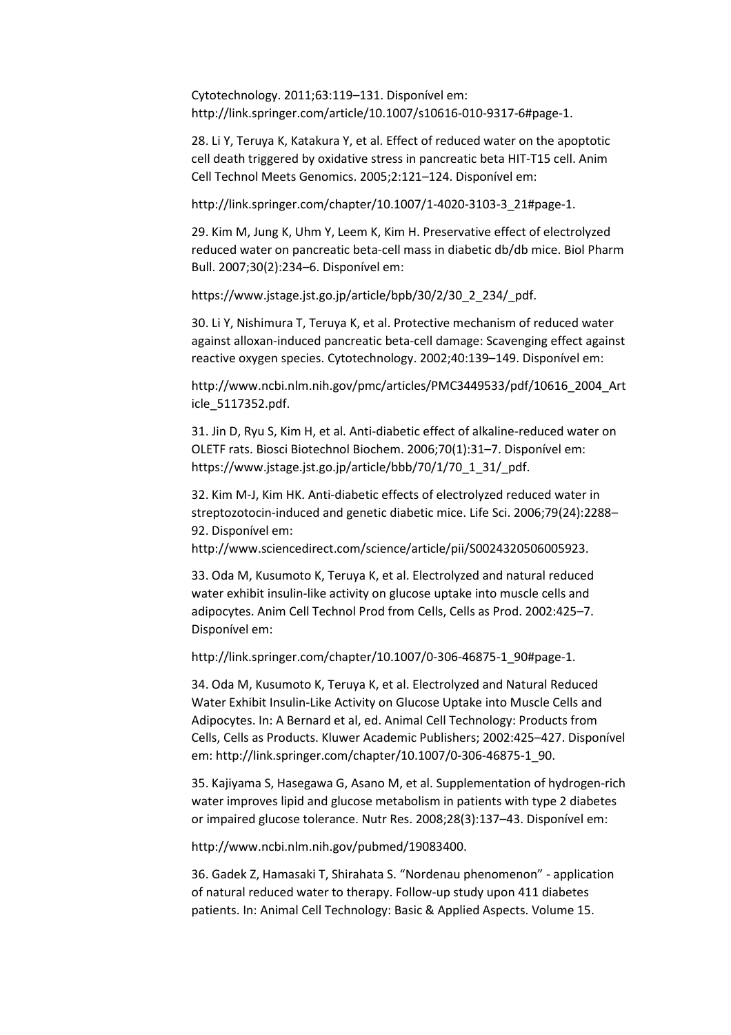Cytotechnology. 2011;63:119–131. Disponível em: http://link.springer.com/article/10.1007/s10616-010-9317-6#page-1.

28. Li Y, Teruya K, Katakura Y, et al. Effect of reduced water on the apoptotic cell death triggered by oxidative stress in pancreatic beta HIT-T15 cell. Anim Cell Technol Meets Genomics. 2005;2:121–124. Disponível em:

http://link.springer.com/chapter/10.1007/1-4020-3103-3\_21#page-1.

29. Kim M, Jung K, Uhm Y, Leem K, Kim H. Preservative effect of electrolyzed reduced water on pancreatic beta-cell mass in diabetic db/db mice. Biol Pharm Bull. 2007;30(2):234–6. Disponível em:

https://www.jstage.jst.go.jp/article/bpb/30/2/30\_2\_234/\_pdf.

30. Li Y, Nishimura T, Teruya K, et al. Protective mechanism of reduced water against alloxan-induced pancreatic beta-cell damage: Scavenging effect against reactive oxygen species. Cytotechnology. 2002;40:139–149. Disponível em:

http://www.ncbi.nlm.nih.gov/pmc/articles/PMC3449533/pdf/10616\_2004\_Art icle\_5117352.pdf.

31. Jin D, Ryu S, Kim H, et al. Anti-diabetic effect of alkaline-reduced water on OLETF rats. Biosci Biotechnol Biochem. 2006;70(1):31–7. Disponível em: https://www.jstage.jst.go.jp/article/bbb/70/1/70\_1\_31/\_pdf.

32. Kim M-J, Kim HK. Anti-diabetic effects of electrolyzed reduced water in streptozotocin-induced and genetic diabetic mice. Life Sci. 2006;79(24):2288– 92. Disponível em:

http://www.sciencedirect.com/science/article/pii/S0024320506005923.

33. Oda M, Kusumoto K, Teruya K, et al. Electrolyzed and natural reduced water exhibit insulin-like activity on glucose uptake into muscle cells and adipocytes. Anim Cell Technol Prod from Cells, Cells as Prod. 2002:425–7. Disponível em:

http://link.springer.com/chapter/10.1007/0-306-46875-1\_90#page-1.

34. Oda M, Kusumoto K, Teruya K, et al. Electrolyzed and Natural Reduced Water Exhibit Insulin-Like Activity on Glucose Uptake into Muscle Cells and Adipocytes. In: A Bernard et al, ed. Animal Cell Technology: Products from Cells, Cells as Products. Kluwer Academic Publishers; 2002:425–427. Disponível em: http://link.springer.com/chapter/10.1007/0-306-46875-1\_90.

35. Kajiyama S, Hasegawa G, Asano M, et al. Supplementation of hydrogen-rich water improves lipid and glucose metabolism in patients with type 2 diabetes or impaired glucose tolerance. Nutr Res. 2008;28(3):137–43. Disponível em:

http://www.ncbi.nlm.nih.gov/pubmed/19083400.

36. Gadek Z, Hamasaki T, Shirahata S. "Nordenau phenomenon" - application of natural reduced water to therapy. Follow-up study upon 411 diabetes patients. In: Animal Cell Technology: Basic & Applied Aspects. Volume 15.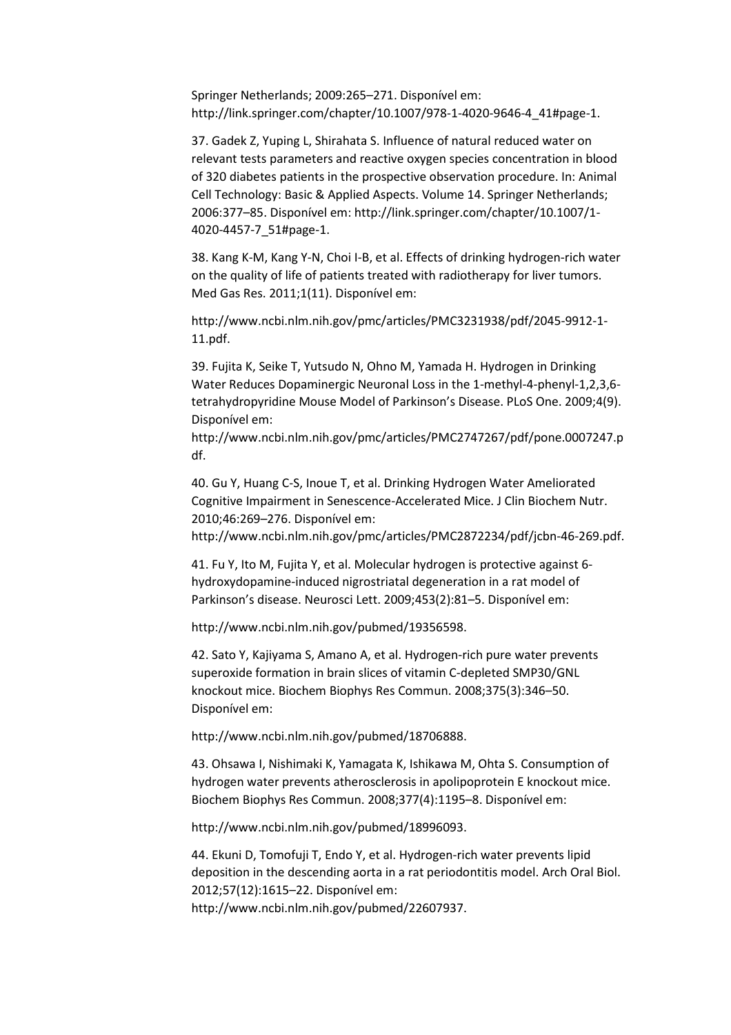Springer Netherlands; 2009:265–271. Disponível em: http://link.springer.com/chapter/10.1007/978-1-4020-9646-4\_41#page-1.

37. Gadek Z, Yuping L, Shirahata S. Influence of natural reduced water on relevant tests parameters and reactive oxygen species concentration in blood of 320 diabetes patients in the prospective observation procedure. In: Animal Cell Technology: Basic & Applied Aspects. Volume 14. Springer Netherlands; 2006:377–85. Disponível em: http://link.springer.com/chapter/10.1007/1- 4020-4457-7\_51#page-1.

38. Kang K-M, Kang Y-N, Choi I-B, et al. Effects of drinking hydrogen-rich water on the quality of life of patients treated with radiotherapy for liver tumors. Med Gas Res. 2011;1(11). Disponível em:

http://www.ncbi.nlm.nih.gov/pmc/articles/PMC3231938/pdf/2045-9912-1- 11.pdf.

39. Fujita K, Seike T, Yutsudo N, Ohno M, Yamada H. Hydrogen in Drinking Water Reduces Dopaminergic Neuronal Loss in the 1-methyl-4-phenyl-1,2,3,6 tetrahydropyridine Mouse Model of Parkinson's Disease. PLoS One. 2009;4(9). Disponível em:

http://www.ncbi.nlm.nih.gov/pmc/articles/PMC2747267/pdf/pone.0007247.p df.

40. Gu Y, Huang C-S, Inoue T, et al. Drinking Hydrogen Water Ameliorated Cognitive Impairment in Senescence-Accelerated Mice. J Clin Biochem Nutr. 2010;46:269–276. Disponível em:

http://www.ncbi.nlm.nih.gov/pmc/articles/PMC2872234/pdf/jcbn-46-269.pdf.

41. Fu Y, Ito M, Fujita Y, et al. Molecular hydrogen is protective against 6 hydroxydopamine-induced nigrostriatal degeneration in a rat model of Parkinson's disease. Neurosci Lett. 2009;453(2):81–5. Disponível em:

http://www.ncbi.nlm.nih.gov/pubmed/19356598.

42. Sato Y, Kajiyama S, Amano A, et al. Hydrogen-rich pure water prevents superoxide formation in brain slices of vitamin C-depleted SMP30/GNL knockout mice. Biochem Biophys Res Commun. 2008;375(3):346–50. Disponível em:

http://www.ncbi.nlm.nih.gov/pubmed/18706888.

43. Ohsawa I, Nishimaki K, Yamagata K, Ishikawa M, Ohta S. Consumption of hydrogen water prevents atherosclerosis in apolipoprotein E knockout mice. Biochem Biophys Res Commun. 2008;377(4):1195–8. Disponível em:

http://www.ncbi.nlm.nih.gov/pubmed/18996093.

44. Ekuni D, Tomofuji T, Endo Y, et al. Hydrogen-rich water prevents lipid deposition in the descending aorta in a rat periodontitis model. Arch Oral Biol. 2012;57(12):1615–22. Disponível em: http://www.ncbi.nlm.nih.gov/pubmed/22607937.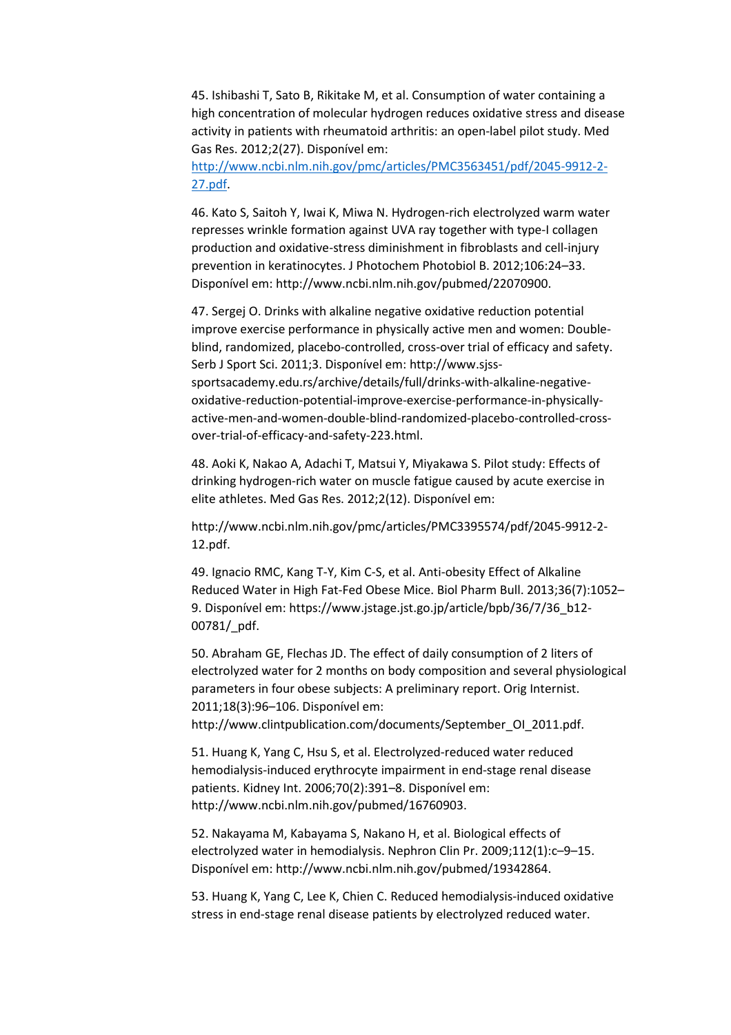45. Ishibashi T, Sato B, Rikitake M, et al. Consumption of water containing a high concentration of molecular hydrogen reduces oxidative stress and disease activity in patients with rheumatoid arthritis: an open-label pilot study. Med Gas Res. 2012;2(27). Disponível em:

http://www.ncbi.nlm.nih.gov/pmc/articles/PMC3563451/pdf/2045-9912-2- 27.pdf.

46. Kato S, Saitoh Y, Iwai K, Miwa N. Hydrogen-rich electrolyzed warm water represses wrinkle formation against UVA ray together with type-I collagen production and oxidative-stress diminishment in fibroblasts and cell-injury prevention in keratinocytes. J Photochem Photobiol B. 2012;106:24–33. Disponível em: http://www.ncbi.nlm.nih.gov/pubmed/22070900.

47. Sergej O. Drinks with alkaline negative oxidative reduction potential improve exercise performance in physically active men and women: Doubleblind, randomized, placebo-controlled, cross-over trial of efficacy and safety. Serb J Sport Sci. 2011;3. Disponível em: http://www.sjsssportsacademy.edu.rs/archive/details/full/drinks-with-alkaline-negativeoxidative-reduction-potential-improve-exercise-performance-in-physicallyactive-men-and-women-double-blind-randomized-placebo-controlled-crossover-trial-of-efficacy-and-safety-223.html.

48. Aoki K, Nakao A, Adachi T, Matsui Y, Miyakawa S. Pilot study: Effects of drinking hydrogen-rich water on muscle fatigue caused by acute exercise in elite athletes. Med Gas Res. 2012;2(12). Disponível em:

http://www.ncbi.nlm.nih.gov/pmc/articles/PMC3395574/pdf/2045-9912-2- 12.pdf.

49. Ignacio RMC, Kang T-Y, Kim C-S, et al. Anti-obesity Effect of Alkaline Reduced Water in High Fat-Fed Obese Mice. Biol Pharm Bull. 2013;36(7):1052– 9. Disponível em: https://www.jstage.jst.go.jp/article/bpb/36/7/36\_b12- 00781/\_pdf.

50. Abraham GE, Flechas JD. The effect of daily consumption of 2 liters of electrolyzed water for 2 months on body composition and several physiological parameters in four obese subjects: A preliminary report. Orig Internist. 2011;18(3):96–106. Disponível em: http://www.clintpublication.com/documents/September\_OI\_2011.pdf.

51. Huang K, Yang C, Hsu S, et al. Electrolyzed-reduced water reduced hemodialysis-induced erythrocyte impairment in end-stage renal disease patients. Kidney Int. 2006;70(2):391–8. Disponível em: http://www.ncbi.nlm.nih.gov/pubmed/16760903.

52. Nakayama M, Kabayama S, Nakano H, et al. Biological effects of electrolyzed water in hemodialysis. Nephron Clin Pr. 2009;112(1):c–9–15. Disponível em: http://www.ncbi.nlm.nih.gov/pubmed/19342864.

53. Huang K, Yang C, Lee K, Chien C. Reduced hemodialysis-induced oxidative stress in end-stage renal disease patients by electrolyzed reduced water.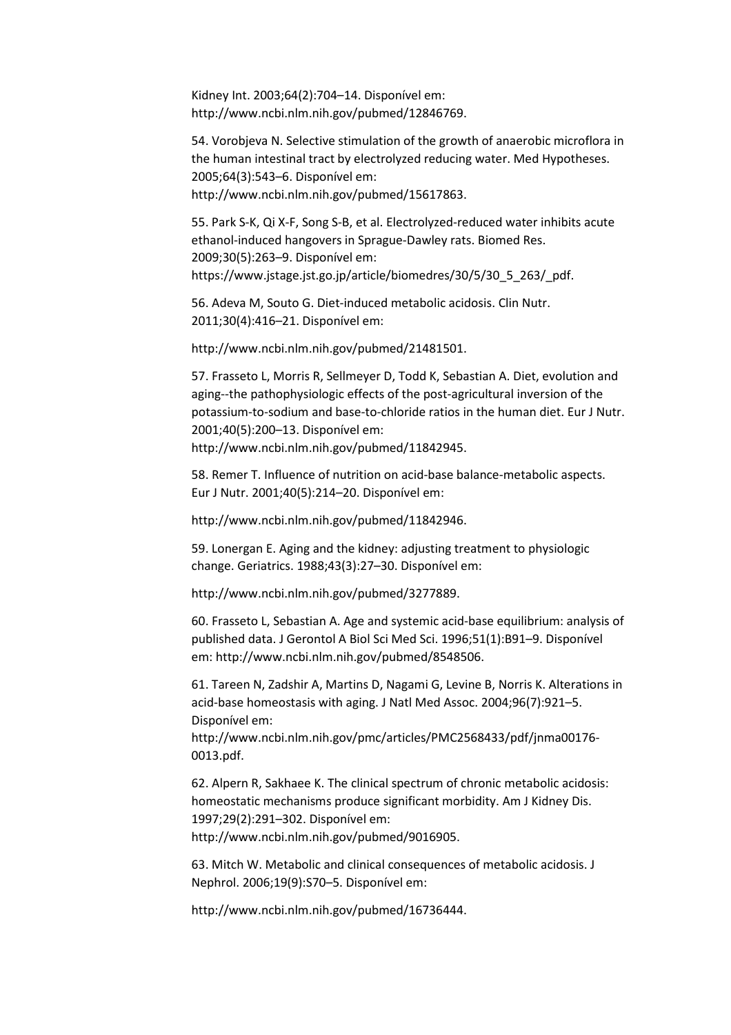Kidney Int. 2003;64(2):704–14. Disponível em: http://www.ncbi.nlm.nih.gov/pubmed/12846769.

54. Vorobjeva N. Selective stimulation of the growth of anaerobic microflora in the human intestinal tract by electrolyzed reducing water. Med Hypotheses. 2005;64(3):543–6. Disponível em: http://www.ncbi.nlm.nih.gov/pubmed/15617863.

55. Park S-K, Qi X-F, Song S-B, et al. Electrolyzed-reduced water inhibits acute ethanol-induced hangovers in Sprague-Dawley rats. Biomed Res. 2009;30(5):263–9. Disponível em: https://www.jstage.jst.go.jp/article/biomedres/30/5/30\_5\_263/\_pdf.

56. Adeva M, Souto G. Diet-induced metabolic acidosis. Clin Nutr. 2011;30(4):416–21. Disponível em:

http://www.ncbi.nlm.nih.gov/pubmed/21481501.

57. Frasseto L, Morris R, Sellmeyer D, Todd K, Sebastian A. Diet, evolution and aging--the pathophysiologic effects of the post-agricultural inversion of the potassium-to-sodium and base-to-chloride ratios in the human diet. Eur J Nutr. 2001;40(5):200–13. Disponível em:

http://www.ncbi.nlm.nih.gov/pubmed/11842945.

58. Remer T. Influence of nutrition on acid-base balance-metabolic aspects. Eur J Nutr. 2001;40(5):214–20. Disponível em:

http://www.ncbi.nlm.nih.gov/pubmed/11842946.

59. Lonergan E. Aging and the kidney: adjusting treatment to physiologic change. Geriatrics. 1988;43(3):27–30. Disponível em:

http://www.ncbi.nlm.nih.gov/pubmed/3277889.

60. Frasseto L, Sebastian A. Age and systemic acid-base equilibrium: analysis of published data. J Gerontol A Biol Sci Med Sci. 1996;51(1):B91–9. Disponível em: http://www.ncbi.nlm.nih.gov/pubmed/8548506.

61. Tareen N, Zadshir A, Martins D, Nagami G, Levine B, Norris K. Alterations in acid-base homeostasis with aging. J Natl Med Assoc. 2004;96(7):921–5. Disponível em:

http://www.ncbi.nlm.nih.gov/pmc/articles/PMC2568433/pdf/jnma00176- 0013.pdf.

62. Alpern R, Sakhaee K. The clinical spectrum of chronic metabolic acidosis: homeostatic mechanisms produce significant morbidity. Am J Kidney Dis. 1997;29(2):291–302. Disponível em: http://www.ncbi.nlm.nih.gov/pubmed/9016905.

63. Mitch W. Metabolic and clinical consequences of metabolic acidosis. J Nephrol. 2006;19(9):S70–5. Disponível em:

http://www.ncbi.nlm.nih.gov/pubmed/16736444.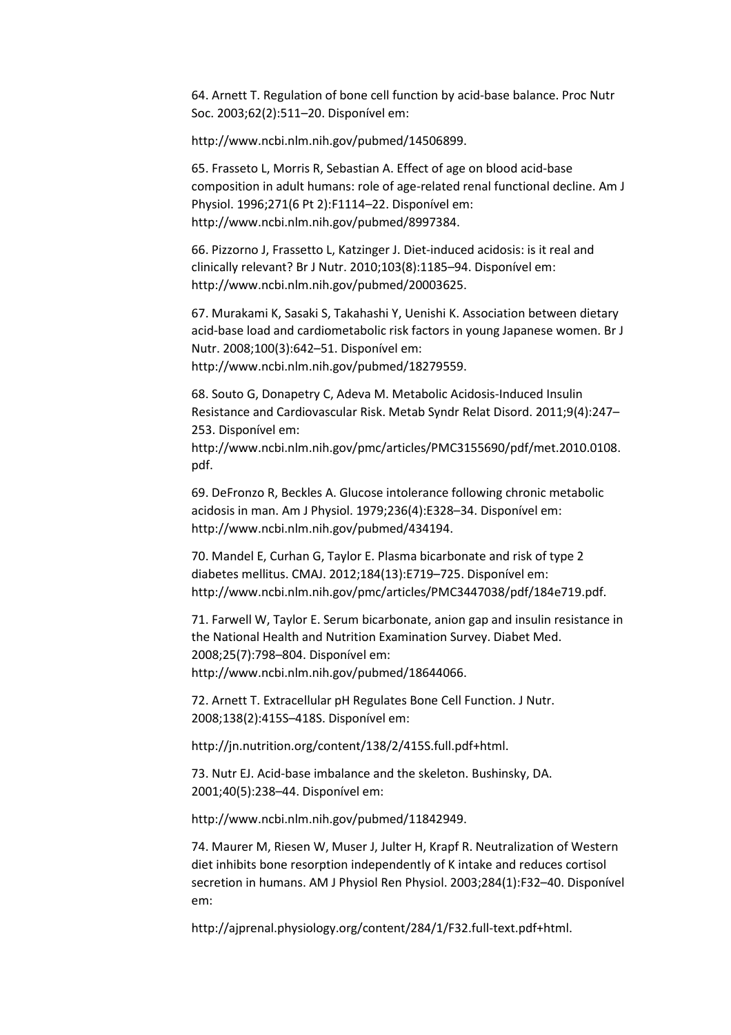64. Arnett T. Regulation of bone cell function by acid-base balance. Proc Nutr Soc. 2003;62(2):511–20. Disponível em:

http://www.ncbi.nlm.nih.gov/pubmed/14506899.

65. Frasseto L, Morris R, Sebastian A. Effect of age on blood acid-base composition in adult humans: role of age-related renal functional decline. Am J Physiol. 1996;271(6 Pt 2):F1114–22. Disponível em: http://www.ncbi.nlm.nih.gov/pubmed/8997384.

66. Pizzorno J, Frassetto L, Katzinger J. Diet-induced acidosis: is it real and clinically relevant? Br J Nutr. 2010;103(8):1185–94. Disponível em: http://www.ncbi.nlm.nih.gov/pubmed/20003625.

67. Murakami K, Sasaki S, Takahashi Y, Uenishi K. Association between dietary acid-base load and cardiometabolic risk factors in young Japanese women. Br J Nutr. 2008;100(3):642–51. Disponível em: http://www.ncbi.nlm.nih.gov/pubmed/18279559.

68. Souto G, Donapetry C, Adeva M. Metabolic Acidosis-Induced Insulin Resistance and Cardiovascular Risk. Metab Syndr Relat Disord. 2011;9(4):247– 253. Disponível em:

http://www.ncbi.nlm.nih.gov/pmc/articles/PMC3155690/pdf/met.2010.0108. pdf.

69. DeFronzo R, Beckles A. Glucose intolerance following chronic metabolic acidosis in man. Am J Physiol. 1979;236(4):E328–34. Disponível em: http://www.ncbi.nlm.nih.gov/pubmed/434194.

70. Mandel E, Curhan G, Taylor E. Plasma bicarbonate and risk of type 2 diabetes mellitus. CMAJ. 2012;184(13):E719–725. Disponível em: http://www.ncbi.nlm.nih.gov/pmc/articles/PMC3447038/pdf/184e719.pdf.

71. Farwell W, Taylor E. Serum bicarbonate, anion gap and insulin resistance in the National Health and Nutrition Examination Survey. Diabet Med. 2008;25(7):798–804. Disponível em: http://www.ncbi.nlm.nih.gov/pubmed/18644066.

72. Arnett T. Extracellular pH Regulates Bone Cell Function. J Nutr. 2008;138(2):415S–418S. Disponível em:

http://jn.nutrition.org/content/138/2/415S.full.pdf+html.

73. Nutr EJ. Acid-base imbalance and the skeleton. Bushinsky, DA. 2001;40(5):238–44. Disponível em:

http://www.ncbi.nlm.nih.gov/pubmed/11842949.

74. Maurer M, Riesen W, Muser J, Julter H, Krapf R. Neutralization of Western diet inhibits bone resorption independently of K intake and reduces cortisol secretion in humans. AM J Physiol Ren Physiol. 2003;284(1):F32–40. Disponível em:

http://ajprenal.physiology.org/content/284/1/F32.full-text.pdf+html.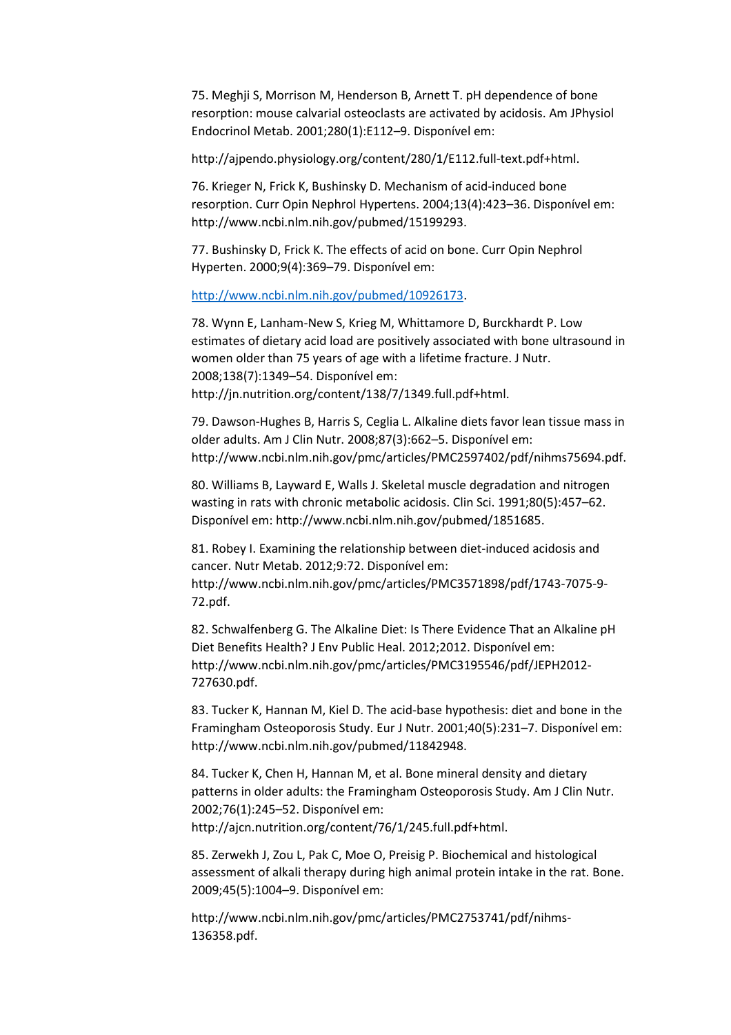75. Meghji S, Morrison M, Henderson B, Arnett T. pH dependence of bone resorption: mouse calvarial osteoclasts are activated by acidosis. Am JPhysiol Endocrinol Metab. 2001;280(1):E112–9. Disponível em:

http://ajpendo.physiology.org/content/280/1/E112.full-text.pdf+html.

76. Krieger N, Frick K, Bushinsky D. Mechanism of acid-induced bone resorption. Curr Opin Nephrol Hypertens. 2004;13(4):423–36. Disponível em: http://www.ncbi.nlm.nih.gov/pubmed/15199293.

77. Bushinsky D, Frick K. The effects of acid on bone. Curr Opin Nephrol Hyperten. 2000;9(4):369–79. Disponível em:

http://www.ncbi.nlm.nih.gov/pubmed/10926173.

78. Wynn E, Lanham-New S, Krieg M, Whittamore D, Burckhardt P. Low estimates of dietary acid load are positively associated with bone ultrasound in women older than 75 years of age with a lifetime fracture. J Nutr. 2008;138(7):1349–54. Disponível em: http://jn.nutrition.org/content/138/7/1349.full.pdf+html.

79. Dawson-Hughes B, Harris S, Ceglia L. Alkaline diets favor lean tissue mass in older adults. Am J Clin Nutr. 2008;87(3):662–5. Disponível em: http://www.ncbi.nlm.nih.gov/pmc/articles/PMC2597402/pdf/nihms75694.pdf.

80. Williams B, Layward E, Walls J. Skeletal muscle degradation and nitrogen wasting in rats with chronic metabolic acidosis. Clin Sci. 1991;80(5):457–62. Disponível em: http://www.ncbi.nlm.nih.gov/pubmed/1851685.

81. Robey I. Examining the relationship between diet-induced acidosis and cancer. Nutr Metab. 2012;9:72. Disponível em: http://www.ncbi.nlm.nih.gov/pmc/articles/PMC3571898/pdf/1743-7075-9- 72.pdf.

82. Schwalfenberg G. The Alkaline Diet: Is There Evidence That an Alkaline pH Diet Benefits Health? J Env Public Heal. 2012;2012. Disponível em: http://www.ncbi.nlm.nih.gov/pmc/articles/PMC3195546/pdf/JEPH2012- 727630.pdf.

83. Tucker K, Hannan M, Kiel D. The acid-base hypothesis: diet and bone in the Framingham Osteoporosis Study. Eur J Nutr. 2001;40(5):231–7. Disponível em: http://www.ncbi.nlm.nih.gov/pubmed/11842948.

84. Tucker K, Chen H, Hannan M, et al. Bone mineral density and dietary patterns in older adults: the Framingham Osteoporosis Study. Am J Clin Nutr. 2002;76(1):245–52. Disponível em: http://ajcn.nutrition.org/content/76/1/245.full.pdf+html.

85. Zerwekh J, Zou L, Pak C, Moe O, Preisig P. Biochemical and histological assessment of alkali therapy during high animal protein intake in the rat. Bone. 2009;45(5):1004–9. Disponível em:

http://www.ncbi.nlm.nih.gov/pmc/articles/PMC2753741/pdf/nihms-136358.pdf.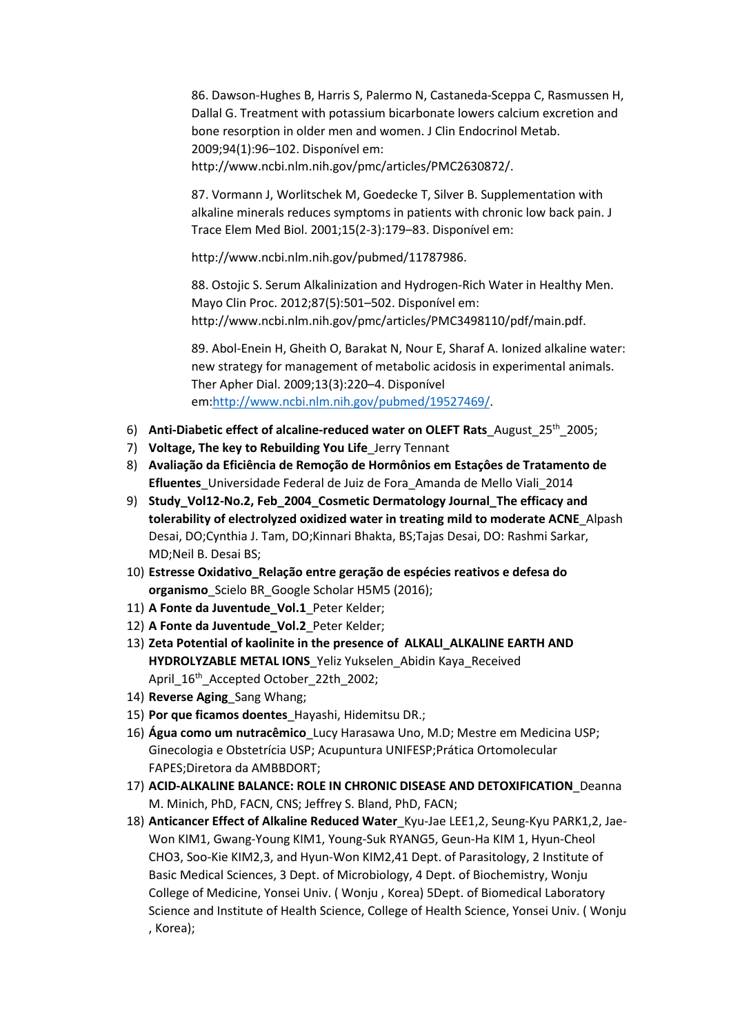86. Dawson-Hughes B, Harris S, Palermo N, Castaneda-Sceppa C, Rasmussen H, Dallal G. Treatment with potassium bicarbonate lowers calcium excretion and bone resorption in older men and women. J Clin Endocrinol Metab. 2009;94(1):96–102. Disponível em:

http://www.ncbi.nlm.nih.gov/pmc/articles/PMC2630872/.

87. Vormann J, Worlitschek M, Goedecke T, Silver B. Supplementation with alkaline minerals reduces symptoms in patients with chronic low back pain. J Trace Elem Med Biol. 2001;15(2-3):179–83. Disponível em:

http://www.ncbi.nlm.nih.gov/pubmed/11787986.

88. Ostojic S. Serum Alkalinization and Hydrogen-Rich Water in Healthy Men. Mayo Clin Proc. 2012;87(5):501–502. Disponível em: http://www.ncbi.nlm.nih.gov/pmc/articles/PMC3498110/pdf/main.pdf.

89. Abol-Enein H, Gheith O, Barakat N, Nour E, Sharaf A. Ionized alkaline water: new strategy for management of metabolic acidosis in experimental animals. Ther Apher Dial. 2009;13(3):220–4. Disponível em:http://www.ncbi.nlm.nih.gov/pubmed/19527469/.

- 6) Anti-Diabetic effect of alcaline-reduced water on OLEFT Rats August  $25<sup>th</sup>$  2005;
- 7) Voltage, The key to Rebuilding You Life\_Jerry Tennant
- 8) Avaliação da Eficiência de Remoção de Hormônios em Estaçôes de Tratamento de Efluentes Universidade Federal de Juiz de Fora Amanda de Mello Viali 2014
- 9) Study\_Vol12-No.2, Feb\_2004\_Cosmetic Dermatology Journal\_The efficacy and tolerability of electrolyzed oxidized water in treating mild to moderate ACNE\_Alpash Desai, DO;Cynthia J. Tam, DO;Kinnari Bhakta, BS;Tajas Desai, DO: Rashmi Sarkar, MD;Neil B. Desai BS;
- 10) Estresse Oxidativo\_Relação entre geração de espécies reativos e defesa do organismo\_Scielo BR\_Google Scholar H5M5 (2016);
- 11) A Fonte da Juventude\_Vol.1 Peter Kelder;
- 12) A Fonte da Juventude Vol.2 Peter Kelder;
- 13) Zeta Potential of kaolinite in the presence of ALKALI\_ALKALINE EARTH AND HYDROLYZABLE METAL IONS Yeliz Yukselen Abidin Kaya\_Received April  $16<sup>th</sup>$  Accepted October 22th 2002;
- 14) Reverse Aging Sang Whang;
- 15) Por que ficamos doentes Hayashi, Hidemitsu DR.;
- 16) Água como um nutracêmico\_Lucy Harasawa Uno, M.D; Mestre em Medicina USP; Ginecologia e Obstetrícia USP; Acupuntura UNIFESP;Prática Ortomolecular FAPES;Diretora da AMBBDORT;
- 17) ACID-ALKALINE BALANCE: ROLE IN CHRONIC DISEASE AND DETOXIFICATION\_Deanna M. Minich, PhD, FACN, CNS; Jeffrey S. Bland, PhD, FACN;
- 18) Anticancer Effect of Alkaline Reduced Water Kyu-Jae LEE1,2, Seung-Kyu PARK1,2, Jae-Won KIM1, Gwang-Young KIM1, Young-Suk RYANG5, Geun-Ha KIM 1, Hyun-Cheol CHO3, Soo-Kie KIM2,3, and Hyun-Won KIM2,41 Dept. of Parasitology, 2 Institute of Basic Medical Sciences, 3 Dept. of Microbiology, 4 Dept. of Biochemistry, Wonju College of Medicine, Yonsei Univ. ( Wonju , Korea) 5Dept. of Biomedical Laboratory Science and Institute of Health Science, College of Health Science, Yonsei Univ. ( Wonju , Korea);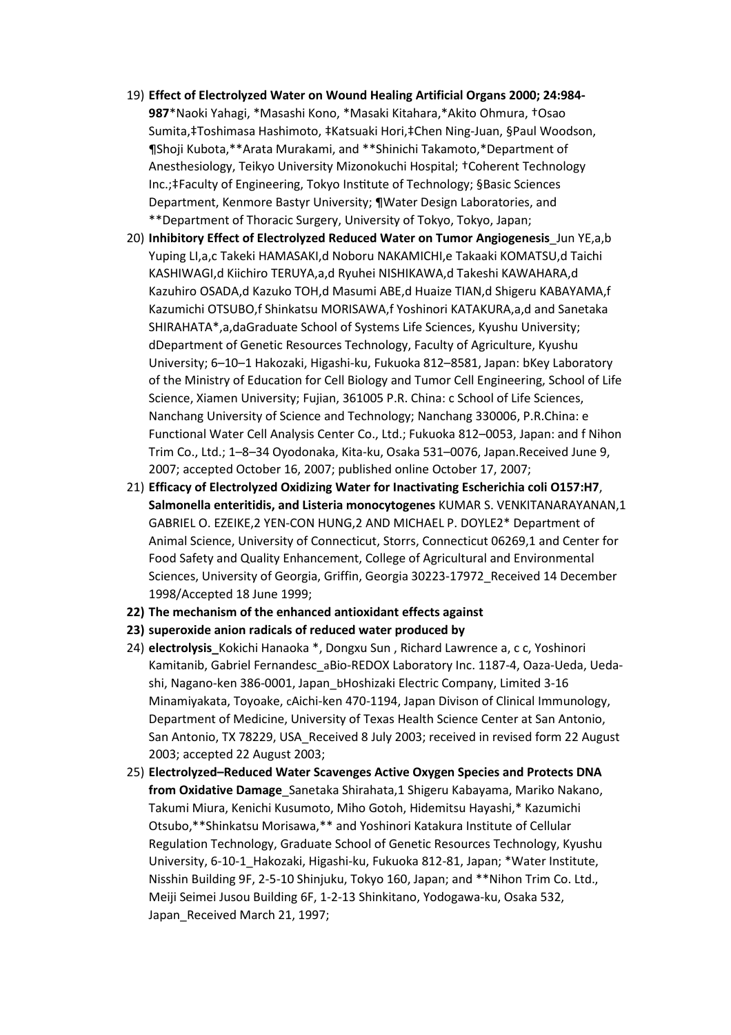- 19) Effect of Electrolyzed Water on Wound Healing Artificial Organs 2000; 24:984- 987\*Naoki Yahagi, \*Masashi Kono, \*Masaki Kitahara,\*Akito Ohmura, †Osao Sumita,‡Toshimasa Hashimoto, ‡Katsuaki Hori,‡Chen Ning-Juan, §Paul Woodson, ¶Shoji Kubota,\*\*Arata Murakami, and \*\*Shinichi Takamoto,\*Department of Anesthesiology, Teikyo University Mizonokuchi Hospital; †Coherent Technology Inc.;‡Faculty of Engineering, Tokyo Institute of Technology; §Basic Sciences Department, Kenmore Bastyr University; ¶Water Design Laboratories, and \*\*Department of Thoracic Surgery, University of Tokyo, Tokyo, Japan;
- 20) Inhibitory Effect of Electrolyzed Reduced Water on Tumor Angiogenesis Jun YE,a,b Yuping LI,a,c Takeki HAMASAKI,d Noboru NAKAMICHI,e Takaaki KOMATSU,d Taichi KASHIWAGI,d Kiichiro TERUYA,a,d Ryuhei NISHIKAWA,d Takeshi KAWAHARA,d Kazuhiro OSADA,d Kazuko TOH,d Masumi ABE,d Huaize TIAN,d Shigeru KABAYAMA,f Kazumichi OTSUBO,f Shinkatsu MORISAWA,f Yoshinori KATAKURA,a,d and Sanetaka SHIRAHATA\*,a,daGraduate School of Systems Life Sciences, Kyushu University; dDepartment of Genetic Resources Technology, Faculty of Agriculture, Kyushu University; 6–10–1 Hakozaki, Higashi-ku, Fukuoka 812–8581, Japan: bKey Laboratory of the Ministry of Education for Cell Biology and Tumor Cell Engineering, School of Life Science, Xiamen University; Fujian, 361005 P.R. China: c School of Life Sciences, Nanchang University of Science and Technology; Nanchang 330006, P.R.China: e Functional Water Cell Analysis Center Co., Ltd.; Fukuoka 812–0053, Japan: and f Nihon Trim Co., Ltd.; 1–8–34 Oyodonaka, Kita-ku, Osaka 531–0076, Japan.Received June 9, 2007; accepted October 16, 2007; published online October 17, 2007;
- 21) Efficacy of Electrolyzed Oxidizing Water for Inactivating Escherichia coli O157:H7, Salmonella enteritidis, and Listeria monocytogenes KUMAR S. VENKITANARAYANAN,1 GABRIEL O. EZEIKE,2 YEN-CON HUNG,2 AND MICHAEL P. DOYLE2\* Department of Animal Science, University of Connecticut, Storrs, Connecticut 06269,1 and Center for Food Safety and Quality Enhancement, College of Agricultural and Environmental Sciences, University of Georgia, Griffin, Georgia 30223-17972\_Received 14 December 1998/Accepted 18 June 1999;
- 22) The mechanism of the enhanced antioxidant effects against
- 23) superoxide anion radicals of reduced water produced by
- 24) electrolysis\_Kokichi Hanaoka \*, Dongxu Sun, Richard Lawrence a, c c, Yoshinori Kamitanib, Gabriel Fernandesc aBio-REDOX Laboratory Inc. 1187-4, Oaza-Ueda, Uedashi, Nagano-ken 386-0001, Japan\_bHoshizaki Electric Company, Limited 3-16 Minamiyakata, Toyoake, cAichi-ken 470-1194, Japan Divison of Clinical Immunology, Department of Medicine, University of Texas Health Science Center at San Antonio, San Antonio, TX 78229, USA Received 8 July 2003; received in revised form 22 August 2003; accepted 22 August 2003;
- 25) Electrolyzed–Reduced Water Scavenges Active Oxygen Species and Protects DNA from Oxidative Damage Sanetaka Shirahata,1 Shigeru Kabayama, Mariko Nakano, Takumi Miura, Kenichi Kusumoto, Miho Gotoh, Hidemitsu Hayashi,\* Kazumichi Otsubo,\*\*Shinkatsu Morisawa,\*\* and Yoshinori Katakura Institute of Cellular Regulation Technology, Graduate School of Genetic Resources Technology, Kyushu University, 6-10-1\_Hakozaki, Higashi-ku, Fukuoka 812-81, Japan; \*Water Institute, Nisshin Building 9F, 2-5-10 Shinjuku, Tokyo 160, Japan; and \*\*Nihon Trim Co. Ltd., Meiji Seimei Jusou Building 6F, 1-2-13 Shinkitano, Yodogawa-ku, Osaka 532, Japan Received March 21, 1997;